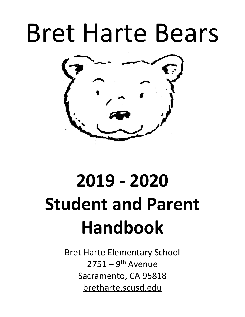# Bret Harte Bears



# **2019 - 2020 Student and Parent Handbook**

Bret Harte Elementary School  $2751 - 9$ <sup>th</sup> Avenue Sacramento, CA 95818 bretharte.scusd.edu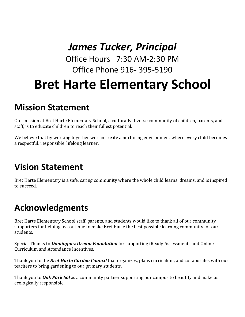### *James Tucker, Principal*

Office Hours 7:30 AM-2:30 PM Office Phone 916- 395-5190

## **Bret Harte Elementary School**

### **Mission Statement**

Our mission at Bret Harte Elementary School, a culturally diverse community of children, parents, and staff, is to educate children to reach their fullest potential.

We believe that by working together we can create a nurturing environment where every child becomes a respectful, responsible, lifelong learner.

### **Vision Statement**

Bret Harte Elementary is a safe, caring community where the whole child learns, dreams, and is inspired to succeed.

### **Acknowledgments**

Bret Harte Elementary School staff, parents, and students would like to thank all of our community supporters for helping us continue to make Bret Harte the best possible learning community for our students.

Special Thanks to **Dominguez Dream Foundation** for supporting iReady Assessments and Online Curriculum and Attendance Incentives.

Thank you to the *Bret Harte Garden Council* that organizes, plans curriculum, and collaborates with our teachers to bring gardening to our primary students.

Thank you to **Oak Park Sol** as a community partner supporting our campus to beautify and make us ecologically responsible.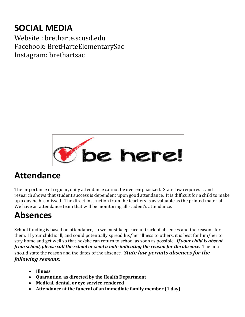### **SOCIAL MEDIA**

Website : bretharte.scusd.edu Facebook: BretHarteElementarySac Instagram: brethartsac



### **Attendance**

The importance of regular, daily attendance cannot be overemphasized. State law requires it and research shows that student success is dependent upon good attendance. It is difficult for a child to make up a day he has missed. The direct instruction from the teachers is as valuable as the printed material. We have an attendance team that will be monitoring all student's attendance.

### **Absences**

School funding is based on attendance, so we must keep careful track of absences and the reasons for them. If your child is ill, and could potentially spread his/her illness to others, it is best for him/her to stay home and get well so that he/she can return to school as soon as possible. **If your child is absent** *from school, please call the school or send a note indicating the reason for the absence.* The note should state the reason and the dates of the absence. **State law permits absences for the** *following reasons:* 

- **Illness**
- **Quarantine, as directed by the Health Department**
- Medical, dental, or eye service rendered
- Attendance at the funeral of an immediate family member (1 day)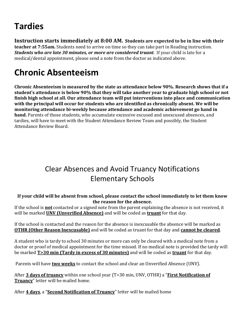### **Tardies**

**Instruction starts immediately at 8:00 AM.** Students are expected to be in line with their **teacher at 7:55am.** Students need to arrive on time so they can take part in Reading instruction. *Students* who are late 30 minutes, or more are considered truant. If your child is late for a medical/dental appointment, please send a note from the doctor as indicated above.

### **Chronic Absenteeism**

Chronic Absenteeism is measured by the state as attendance below 90%. Research shows that if a student's attendance is below 90% that they will take another year to graduate high school or not finish high school at all. Our attendance team will put interventions into place and communication with the principal will occur for students who are identified as chronically absent. We will be **monitoring attendance bi-weekly because attendance and academic achievement go hand in hand.** Parents of those students, who accumulate excessive excused and unexcused absences, and tardies, will have to meet with the Student Attendance Review Team and possibly, the Student Attendance Review Board.

### Clear Absences and Avoid Truancy Notifications Elementary Schools

#### If your child will be absent from school, please contact the school immediately to let them know **the reason for the absence.**

If the school is **not** contacted or a signed note from the parent explaining the absence is not received, it will be marked **UNV (Unverified Absence)** and will be coded as **truant** for that day.

If the school is contacted and the reason for the absence is inexcusable the absence will be marked as **OTHR (Other Reason Inexcusable)** and will be coded as truant for that day and **cannot be cleared**.

A student who is tardy to school 30 minutes or more can only be cleared with a medical note from a doctor or proof of medical appointment for the time missed. If no medical note is provided the tardy will be marked **T>30 min (Tardy in excess of 30 minutes)** and will be coded as **truant** for that day.

Parents will have **two weeks** to contact the school and clear an Unverified Absence (UNV).

After **3 days of truancy** within one school year (T>30 min, UNV, OTHR) a "**First Notification of Truancy**" letter will be mailed home.

After **4 days**, a "**Second Notification of Truancy**" letter will be mailed home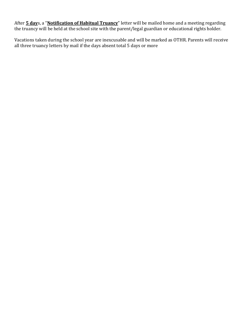After **5 day**s, a "**Notification of Habitual Truancy**" letter will be mailed home and a meeting regarding the truancy will be held at the school site with the parent/legal guardian or educational rights holder.

Vacations taken during the school year are inexcusable and will be marked as OTHR. Parents will receive all three truancy letters by mail if the days absent total 5 days or more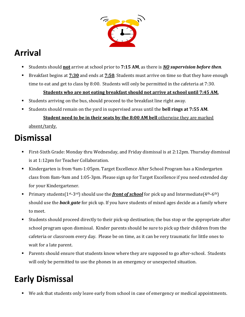

### **Arrival**

- Students should **not** arrive at school prior to 7:15 AM, as there is **NO** supervision before then.
- Breakfast begins at  $7:30$  and ends at  $7:50$ . Students must arrive on time so that they have enough time to eat and get to class by 8:00. Students will only be permitted in the cafeteria at 7:30.

#### **<u>Students who are not eating breakfast should not arrive at school until 7:45 AM.</u>**

- Students arriving on the bus, should proceed to the breakfast line right away.
- Students should remain on the yard in supervised areas until the **bell rings at 7:55 AM**.

#### **Student need to be in their seats by the 8:00 AM bell** otherwise they are marked absent/tardy.

### **Dismissal**

- First-Sixth Grade: Monday thru Wednesday, and Friday dismissal is at 2:12pm. Thursday dismissal is at 1:12pm for Teacher Collaboration.
- Kindergarten is from 9am-1:05pm. Target Excellence After School Program has a Kindergarten class from 8am-9am and 1:05-3pm. Please sign up for Target Excellence if you need extended day for your Kindergartener.
- Primary students( $1^{st}$ -3<sup>rd</sup>) should use the *front of school* for pick up and Intermediate( $4^{th}$ -6<sup>th</sup>) should use the **back gate** for pick up. If you have students of mixed ages decide as a family where to meet.
- Students should proceed directly to their pick-up destination; the bus stop or the appropriate after school program upon dismissal. Kinder parents should be sure to pick up their children from the cafeteria or classroom every day. Please be on time, as it can be very traumatic for little ones to wait for a late parent.
- Parents should ensure that students know where they are supposed to go after-school. Students will only be permitted to use the phones in an emergency or unexpected situation.

### **Early Dismissal**

We ask that students only leave early from school in case of emergency or medical appointments.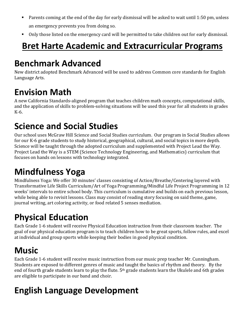- Parents coming at the end of the day for early dismissal will be asked to wait until 1:50 pm, unless an emergency prevents you from doing so.
- Only those listed on the emergency card will be permitted to take children out for early dismissal.

### **Bret Harte Academic and Extracurricular Programs**

### **Benchmark Advanced**

New district adopted Benchmark Advanced will be used to address Common core standards for English Language Arts.

### **Envision Math**

A new California Standards-aligned program that teaches children math concepts, computational skills, and the application of skills to problem-solving situations will be used this year for all students in grades K-6.

### **Science and Social Studies**

Our school uses McGraw Hill Science and Social Studies curriculum. Our program in Social Studies allows for our K-6 grade students to study historical, geographical, cultural, and social topics in more depth. Science will be taught through the adopted curriculum and supplemented with Project Lead the Way. Project Lead the Way is a STEM (Science Technology Engineering, and Mathematics) curriculum that focuses on hands on lessons with technology integrated.

### **Mindfulness Yoga**

Mindfulness Yoga: We offer 30 minutes' classes consisting of Action/Breathe/Centering layered with Transformative Life Skills Curriculum/Art of Yoga Programming/Mindful Life Project Programming in 12 weeks' intervals to entire school body. This curriculum is cumulative and builds on each previous lesson, while being able to revisit lessons. Class may consist of reading story focusing on said theme, game, journal writing, art coloring activity, or food related 5 senses mediation.

### **Physical Education**

Each Grade 1-6 student will receive Physical Education instruction from their classroom teacher. The goal of our physical education program is to teach children how to be great sports, follow rules, and excel at individual and group sports while keeping their bodies in good physical condition.

### **Music**

Each Grade 1-6 student will receive music instruction from our music prep teacher Mr. Cunningham. Students are exposed to different genres of music and taught the basics of rhythm and theory. By the end of fourth grade students learn to play the flute. 5<sup>th</sup> grade students learn the Ukulele and 6th grades are eligible to participate in our band and choir.

### **English Language Development**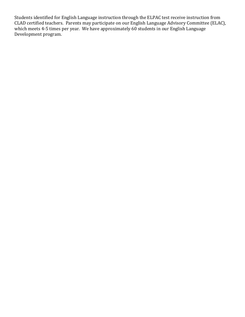Students identified for English Language instruction through the ELPAC test receive instruction from CLAD certified teachers. Parents may participate on our English Language Advisory Committee (ELAC), which meets 4-5 times per year. We have approximately  $60$  students in our English Language Development program.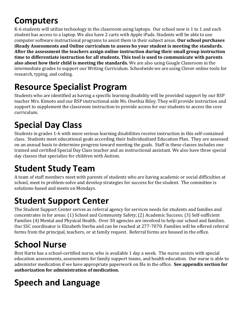### **Computers**

K-6 students will utilize technology in the classroom using laptops. Our school now is 1 to 1 and each student has access to a laptop. We also have 2 carts with Apple iPads. Students will be able to use computer software instructional programs to assist them in their subject areas. **Our school purchases iReady Assessments and Online curriculum to assess ho your student is meeting the standards.** After the assessment the teachers assign online instruction during their small group instruction time to differentiate instruction for all students. This tool is used to communicate with parents **also about how their child is meeting the standards.** We are also using Google Classroom in the intermediate grades to support our Writing Curriculum. Schoolwide we are using Clever online tools for research, typing, and coding.

### **Resource Specialist Program**

Students who are identified as having a specific learning disability will be provided support by our RSP teacher Mrs. Kimoto and our RSP instructional aide Ms. Onethia Riley. They will provide instruction and support to supplement the classroom instruction to provide access for our students to access the core curriculum.

### **Special Day Class**

Students in grades 1-6 with more serious learning disabilities receive instruction in this self-contained class. Students meet educational goals according their Individualized Education Plan. They are assessed on an annual basis to determine progress toward meeting the goals. Staff in these classes includes one trained and certified Special Day Class teacher and an instructional assistant. We also have three special day classes that specialize for children with Autism.

### **Student Study Team**

A team of staff members meet with parents of students who are having academic or social difficulties at school, meet to problem-solve and develop strategies for success for the student. The committee is solutions-based and meets on Mondays.

### **Student Support Center**

The Student Support Center serves as referral agency for services needs for students and families and concentrates in for areas: (1) School and Community Safety; (2) Academic Success; (3) Self-sufficient Families (4) Mental and Physical Health. Over 30 agencies are involved to help our school and families. Our SSC coordinator is Elizabeth Sterba and can be reached at 277-7070. Families will be offered referral forms from the principal, teachers, or at family request. Referral forms are housed in the office.

### **School Nurse**

Bret Harte has a school-certified nurse, who is available 1 day a week. The nurse assists with special education assessments, assessments for family support teams, and health education. Our nurse is able to administer medication if we have appropriate paperwork on file in the office. See appendix section for authorization for administration of medication.

## **Speech and Language**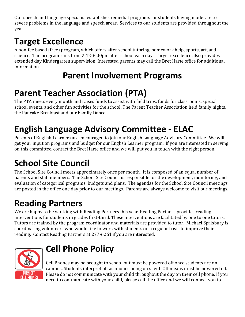Our speech and language specialist establishes remedial programs for students having moderate to severe problems in the language and speech areas. Services to our students are provided throughout the year.

### **Target Excellence**

A non-fee based (free) program, which offers after school tutoring, homework help, sports, art, and science. The program runs from 2:12-6:00pm after school each day. Target excellence also provides extended day Kindergarten supervision. Interested parents may call the Bret Harte office for additional information.

### **Parent Involvement Programs**

### **Parent Teacher Association (PTA)**

The PTA meets every month and raises funds to assist with field trips, funds for classrooms, special school events, and other fun activities for the school. The Parent Teacher Association held family nights, the Pancake Breakfast and our Family Dance.

### **English Language Advisory Committee - ELAC**

Parents of English Learners are encouraged to join our English Language Advisory Committee. We will get your input on programs and budget for our English Learner program. If you are interested in serving on this committee, contact the Bret Harte office and we will put you in touch with the right person.

### **School Site Council**

The School Site Council meets approximately once per month. It is composed of an equal number of parents and staff members. The School Site Council is responsible for the development, monitoring, and evaluation of categorical programs, budgets and plans. The agendas for the School Site Council meetings are posted in the office one day prior to our meetings. Parents are always welcome to visit our meetings.

### **Reading Partners**

We are happy to be working with Reading Partners this year. Reading Partners provides reading interventions for students in grades first-third. These interventions are facilitated by one to one tutors. Tutors are trained by the program coordinator and materials are provided to tutor. Michael Spalsbury is coordinating volunteers who would like to work with students on a regular basis to improve their reading. Contact Reading Partners at 277-6261 if you are interested.



### **Cell Phone Policy**

Cell Phones may be brought to school but must be powered off once students are on campus. Students interpret off as phones being on silent. Off means must be powered off. Please do not communicate with your child throughout the day on their cell phone. If you need to communicate with your child, please call the office and we will connect you to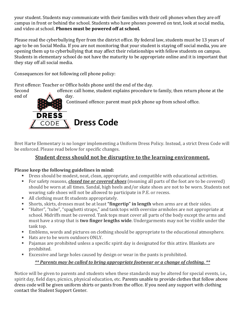your student. Students may communicate with their families with their cell phones when they are off campus in front or behind the school. Students who have phones powered on text, look at social media, and video at school. **Phones must be powered off at school.** 

Please read the cyberbullying flyer from the district office. By federal law, students must be 13 years of age to be on Social Media. If you are not monitoring that your student is staying off social media, you are opening them up to cyberbullying that may affect their relationships with fellow students on campus. Students in elementary school do not have the maturity to be appropriate online and it is important that they stay off all social media.

Consequences for not following cell phone policy:

First offence: Teacher or Office holds phone until the end of the day.

Second offence: call home, student explains procedure to family, then return phone at the



Bret Harte Elementary is no longer implementing a Uniform Dress Policy. Instead, a strict Dress Code will be enforced. Please read below for specific changes.

#### **Student dress should not be disruptive to the learning environment.**

#### Please keep the following guidelines in mind:

- Dress should be modest, neat, clean, appropriate, and compatible with educational activities.
- For safety reasons, *closed toe or covered shoes* (meaning all parts of the foot are to be covered) should be worn at all times. Sandal, high heels and/or skate shoes are not to be worn. Students not wearing safe shoes will not be allowed to participate in P.E. or recess.
- All clothing must fit students appropriately.
- Shorts, skirts, dresses must be at least "**fingertip" in length** when arms are at their sides.
- "Halter", "tube", "spaghetti straps," and tank tops with oversize armholes are not appropriate at school. Midriffs must be covered. Tank tops must cover all parts of the body except the arms and must have a strap that is **two finger lengths wide**. Undergarments may not be visible under the tank top.
- Emblems, words and pictures on clothing should be appropriate to the educational atmosphere.
- Hats are to be worn outdoors ONLY.
- Pajamas are prohibited unless a specific spirit day is designated for this attire. Blankets are prohibited.
- Excessive and large holes caused by design or wear in the pants is prohibited.

#### *\*\* Parents may be called to bring appropriate footwear or a change of clothing. \*\**

Notice will be given to parents and students when these standards may be altered for special events, i.e., spirit day, field days, picnics, physical education, etc. Parents unable to provide clothes that follow above dress code will be given uniform shirts or pants from the office. If you need any support with clothing contact the Student Support Center.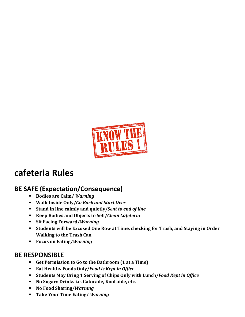

### **cafeteria Rules**

#### **BE SAFE (Expectation/Consequence)**

- Bodies are Calm/ *Warning*
- § **Walk Inside Only/***Go Back and Start Over*
- **Example 1 Stand in line calmly and quietly/Sent to end of line**
- § **Keep Bodies and Objects to Self/***Clean Cafeteria*
- § **Sit Facing Forward/***Warning*
- Students will be Excused One Row at Time, checking for Trash, and Staying in Order **Walking to the Trash Can**
- Focus on Eating/*Warning*

#### **BE RESPONSIBLE**

- Get Permission to Go to the Bathroom (1 at a Time)
- Eat Healthy Foods Only/*Food is Kept in Office*
- Students May Bring 1 Serving of Chips Only with Lunch/*Food Kept in Office*
- No Sugary Drinks i.e. Gatorade, Kool aide, etc.
- § **No Food Sharing/***Warning*
- Take Your Time Eating/ *Warning*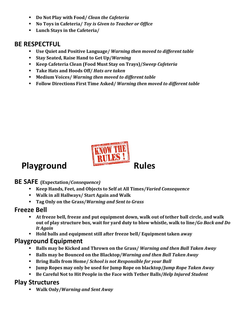- **Do Not Play with Food/ Clean the Cafeteria**
- No Toys in Cafeteria/ *Toy is Given to Teacher or Office*
- Lunch Stays in the Cafeteria/

#### **BE RESPECTFUL**

- Use Quiet and Positive Language/ *Warning then moved to different table*
- Stay Seated, Raise Hand to Get Up/*Warning*
- Keep Cafeteria Clean (Food Must Stay on Trays)/*Sweep Cafeteria*
- Take Hats and Hoods Off/ *Hats are taken*
- Medium Voices/ *Warning then moved to different table*
- **Follow Directions First Time Asked/ Warning then moved to different table**



#### **BE SAFE (Expectation/***Consequence)*

- **Keep Hands, Feet, and Objects to Self at All Times/***Varied Consequence*
- Walk in all Hallways/ Start Again and Walk
- Tag Only on the Grass/*Warning and Sent to Grass*

#### **Freeze Bell**

- **EXECT:** At freeze bell, freeze and put equipment down, walk out of tether ball circle, and walk out of play structure box, wait for yard duty to blow whistle, walk to line/*Go Back and Do It Again*
- Hold balls and equipment still after freeze bell/ Equipment taken away

#### **Playground Equipment**

- **Balls may be Kicked and Thrown on the Grass/** *Warning and then Ball Taken Away*
- Balls may be Bounced on the Blacktop/*Warning and then Ball Taken Away*
- **Example 3 Bring Balls from Home/ School is not Responsible for your Ball**
- **Jump Ropes may only be used for Jump Rope on blacktop/***Jump Rope Taken Away*
- Be Careful Not to Hit People in the Face with Tether Balls/*Help Injured Student*

#### **Play Structures**

§ **Walk Only/***Warning and Sent Away*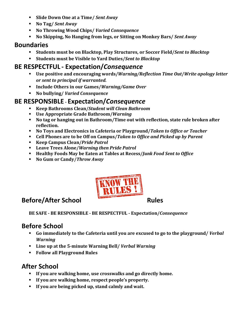- § **Slide Down One at a Time/** *Sent Away*
- § **No Tag/** *Sent Away*
- § **No Throwing Wood Chips/** *Varied Consequence*
- **No Skipping, No Hanging from legs, or Sitting on Monkey Bars/ Sent Away**

#### **Boundaries**

- Students must be on Blacktop, Play Structures, or Soccer Field/*Sent to Blacktop*
- Students must be Visible to Yard Duties/*Sent to Blacktop*

#### **BE RESPECTFUL - Expectation/***Consequence*

- Use positive and encouraging words/*Warning/Reflection Time Out/Write apology letter or sent to principal if warranted.*
- Include Others in our Games/*Warning/Game Over*
- § **No bullying/** *Varied Consequence*

#### **BE RESPONSIBLE - Expectation/***Consequence*

- Keep Bathrooms Clean/*Student will Clean Bathroom*
- Use Appropriate Grade Bathroom/*Warning*
- **No tag or hanging out in Bathroom/Time out with reflection, state rule broken after reflection.**
- No Toys and Electronics in Cafeteria or Playground/*Taken to Office or Teacher*
- Cell Phones are to be Off on Campus/*Taken to Office and Picked up by Parent*
- Keep Campus Clean/*Pride Patrol*
- Leave Trees Alone/*Warning then Pride Patrol*
- **Example 3 Healthy Foods May be Eaten at Tables at Recess/***Junk Food Sent to Office*
- **No Gum or Candy/***Throw Away*



### **Before/After School Rules**

**BE SAFE - BE RESPONSIBLE - BE RESPECTFUL - Expectation/***Consequence*

### **Before School**

- **•** Go immediately to the Cafeteria until you are excused to go to the playground/ *Verbal Warning*
- Line up at the 5-minute Warning Bell/ *Verbal Warning*
- § **Follow all Playground Rules**

### **After School**

- **F** If you are walking home, use crosswalks and go directly home.
- **EXECT:** If you are walking home, respect people's property.
- **F** If you are being picked up, stand calmly and wait.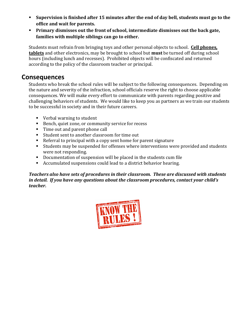- **Supervision is finished after 15 minutes after the end of day bell, students must go to the office and wait for parents.**
- **Primary dismisses out the front of school, intermediate dismisses out the back gate,** families with multiple siblings can go to either.

Students must refrain from bringing toys and other personal objects to school. **Cell phones, tablets** and other electronics, may be brought to school but **must** be turned off during school hours (including lunch and recesses). Prohibited objects will be confiscated and returned according to the policy of the classroom teacher or principal.

#### **Consequences**

Students who break the school rules will be subject to the following consequences. Depending on the nature and severity of the infraction, school officials reserve the right to choose applicable consequences. We will make every effort to communicate with parents regarding positive and challenging behaviors of students. We would like to keep you as partners as we train our students to be successful in society and in their future careers.

- Verbal warning to student
- Bench, quiet zone, or community service for recess
- Time out and parent phone call
- Student sent to another classroom for time out
- Referral to principal with a copy sent home for parent signature
- Students may be suspended for offenses where interventions were provided and students were not responding.
- Documentation of suspension will be placed in the students cum file
- Accumulated suspensions could lead to a district behavior hearing.

Teachers also have sets of procedures in their classroom. These are discussed with students *in detail.* If you have any questions about the classroom procedures, contact your child's *teacher.*

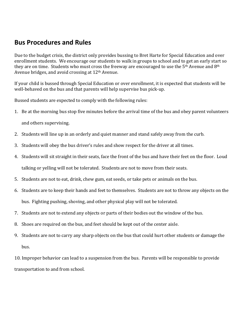#### **Bus Procedures and Rules**

Due to the budget crisis, the district only provides bussing to Bret Harte for Special Education and over enrollment students. We encourage our students to walk in groups to school and to get an early start so they are on time. Students who must cross the freeway are encouraged to use the  $5<sup>th</sup>$  Avenue and 8<sup>th</sup> Avenue bridges, and avoid crossing at  $12<sup>th</sup>$  Avenue.

If your child is bussed through Special Education or over enrollment, it is expected that students will be well-behaved on the bus and that parents will help supervise bus pick-up.

Bussed students are expected to comply with the following rules:

- 1. Be at the morning bus stop five minutes before the arrival time of the bus and obey parent volunteers and others supervising.
- 2. Students will line up in an orderly and quiet manner and stand safely away from the curb.
- 3. Students will obey the bus driver's rules and show respect for the driver at all times.
- 4. Students will sit straight in their seats, face the front of the bus and have their feet on the floor. Loud talking or yelling will not be tolerated. Students are not to move from their seats.
- 5. Students are not to eat, drink, chew gum, eat seeds, or take pets or animals on the bus.
- 6. Students are to keep their hands and feet to themselves. Students are not to throw any objects on the bus. Fighting pushing, shoving, and other physical play will not be tolerated.
- 7. Students are not to extend any objects or parts of their bodies out the window of the bus.
- 8. Shoes are required on the bus, and feet should be kept out of the center aisle.
- 9. Students are not to carry any sharp objects on the bus that could hurt other students or damage the bus.

10. Improper behavior can lead to a suspension from the bus. Parents will be responsible to provide transportation to and from school.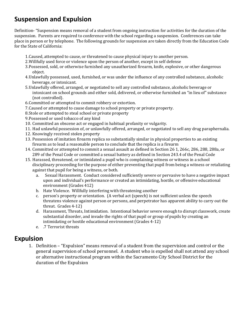#### **Suspension and Expulsion**

Definition- "Suspension means removal of a student from ongoing instruction for activities for the duration of the suspension. Parents are required to conference with the school regarding a suspension. Conferences can take place in person or by telephone. The following grounds for suspension are taken directly from the Education Code for the State of California:

- 1. Caused, attempted to cause, or threatened to cause physical injury to another person.
- 2. Willfully used force or violence upon the person of another, except in self defense
- 3. Possessed, sold, or otherwise furnished any unauthorized firearm, knife, explosive, or other dangerous object.
- 4. Unlawfully possessed, used, furnished, or was under the influence of any controlled substance, alcoholic beverage, or intoxicant.
- 5. Unlawfully offered, arranged, or negotiated to sell any controlled substance, alcoholic beverage or intoxicant on school grounds and either sold, delivered, or otherwise furnished an "in lieu of" substance (not controlled).
- 6. Committed or attempted to commit robbery or extortion.
- 7. Caused or attempted to cause damage to school property or private property.
- 8. Stole or attempted to steal school or private property
- 9. Possessed or used tobacco of any kind
- 10. Committed an obscene act or engaged in habitual profanity or vulgarity.
- 11. Had unlawful possession of, or unlawfully offered, arranged, or negotiated to sell any drug paraphernalia.
- 12. Knowingly received stolen property
- 13. Possession of imitation firearm replica so substantially similar in physical properties to an existing firearm as to lead a reasonable person to conclude that the replica is a firearm
- 14. Committed or attempted to commit a sexual assault as defined in Section 26 1, 266c, 286, 288, 288a, or 289 of the Penal Code or committed a sexual battery as defined in Section 243.4 of the Penal Code
- 15. Harassed, threatened, or intimidated a pupil who is complaining witness or witness in a school disciplinary proceeding for the purpose of either preventing that pupil from being a witness or retaliating against that pupil for being a witness, or both.
	- a. Sexual Harassment. Conduct considered sufficiently severe or pervasive to have a negative impact upon and individual's performance or created an intimidating, hostile, or offensive educational environment (Grades 412)
	- b. Hate Violence. Willfully interfering with threatening another
	- c. person's property or orientation. (A verbal act (speech) is not sufficient unless the speech threatens violence against person or persons, and perpetrator has apparent ability to carry out the threat. Grades 4-12)
	- d. Harassment, Threats, Intimidation. Intentional behavior severe enough to disrupt classwork, create substantial disorder, and invade the rights of that pupil or group of pupils by creating an intimidating or hostile educational environment (Grades 4-12)
	- e. .7 Terrorist threats

#### **Expulsion**

1. Definition – "Expulsion" means removal of a student from the supervision and control or the general supervision of school personnel. A student who is expelled shall not attend any school or alternative instructional program within the Sacramento City School District for the duration of the Expulsion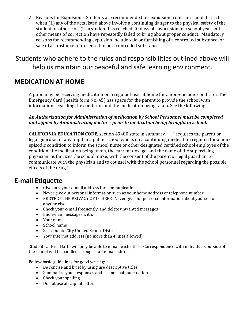2. Reasons for Expulsion – Students are recommended for expulsion from the school district when  $(1)$  any of the acts listed above involve a continuing danger to the physical safety of the student or others; or, (2) a student has reached 20 days of suspension in a school year and other means of correction have repeatedly failed to bring about proper conduct. Mandatory reasons for recommending expulsion include sale or furnishing of a controlled substance; or sale of a substance represented to be a controlled substance.

Students who adhere to the rules and responsibilities outlined above will help us maintain our peaceful and safe learning environment.

#### **MEDICATION AT HOME**

A pupil may be receiving medication on a regular basis at home for a non-episodic condition. The Emergency Card (health form No. 45) has space for the parent to provide the school with information regarding the condition and the medication being taken. See the following:

An Authorization for Administration of medication by School Personnel must be completed and signed by Administrating doctor - prior to medication being brought to school.

**CALIFORNIA EDUCATION CODE**, section 49480 state in summary... " requires the parent or legal guardian of any pupil in a public school who is on a continuing medication regimen for a nonepisodic condition to inform the school nurse or other designated certified school employee of the condition, the medication being taken, the current dosage, and the name of the supervising physician; authorizes the school nurse, with the consent of the parent or legal guardian, to communicate with the physician and to counsel with the school personnel regarding the possible effects of the drug."

#### **E-mail Etiquette**

- Give only your e-mail address for communication
- Never give out personal information such as your home address or telephone number
- PROTECT THE PRIVACY OF OTHERS. Never give out personal information about vourself or anyone else.
- Check your e-mail frequently, and delete unwanted messages
- End e-mail messages with:
- Your name
- School name
- Sacramento City Unified School District
- Your internet address (no more than 4 lines allowed)

Students at Bret Harte will only be able to e-mail each other. Correspondence with individuals outside of the school will be handled through staff e-mail addresses.

Follow basic guidelines for good writing:

- Be concise and brief by using use descriptive titles
- Summarize your responses and use normal punctuation
- Check your spelling
- Do not use all capital letters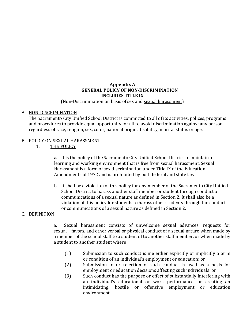#### **Appendix A GENERAL POLICY OF NON-DISCRIMINATION INCLUDES TITLE IX**

(Non-Discrimination on basis of sex and sexual harassment)

#### A. NON-DISCRIMINATION

The Sacramento City Unified School District is committed to all of its activities, polices, programs and procedures to provide equal opportunity for all to avoid discrimination against any person regardless of race, religion, sex, color, national origin, disability, marital status or age.

#### B. POLICY ON SEXUAL HARASSMENT

1. THE POLICY

a. It is the policy of the Sacramento City Unified School District to maintain a learning and working environment that is free from sexual harassment. Sexual Harassment is a form of sex discrimination under Title IX of the Education Amendments of 1972 and is prohibited by both federal and state law.

b. It shall be a violation of this policy for any member of the Sacramento City Unified School District to harass another staff member or student through conduct or communications of a sexual nature as defined in Section 2. It shall also be a violation of this policy for students to harass other students through the conduct or communications of a sexual nature as defined in Section 2.

#### C. DEFINITION

a. Sexual harassment consists of unwelcome sexual advances, requests for sexual favors, and other verbal or physical conduct of a sexual nature when made by a member of the school staff to a student of to another staff member, or when made by a student to another student where

- (1) Submission to such conduct is me either explicitly or implicitly a term or condition of an individual's employment or education; or
- (2) Submission to or rejection of such conduct is used as a basis for employment or education decisions affecting such individuals; or
- (3) Such conduct has the purpose or effect of substantially interfering with an individual's educational or work performance, or creating an intimidating, hostile or offensive employment or education environment.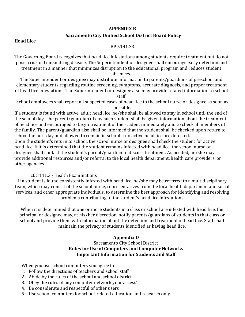#### **APPENDIX B**

#### **Sacramento City Unified School District Board Policy**

#### **Head Lice**

#### BP 5141.33

The Governing Board recognizes that head lice infestations among students require treatment but do not pose a risk of transmitting disease. The Superintendent or designee shall encourage early detection and treatment in a manner that minimizes disruption to the educational program and reduces student

absences.

The Superintendent or designee may distribute information to parents/guardians of preschool and elementary students regarding routine screening, symptoms, accurate diagnosis, and proper treatment of head lice infestations. The Superintendent or designee also may provide related information to school staff.

School employees shall report all suspected cases of head lice to the school nurse or designee as soon as possible.

If a student is found with active, adult head lice, he/she shall be allowed to stay in school until the end of the school day. The parent/guardian of any such student shall be given information about the treatment of head lice and encouraged to begin treatment of the student immediately and to check all members of the family. The parent/guardian also shall be informed that the student shall be checked upon return to school the next day and allowed to remain in school if no active head lice are detected. Upon the student's return to school, the school nurse or designee shall check the student for active

head lice. If it is determined that the student remains infected with head lice, the school nurse or designee shall contact the student's parent/guardian to discuss treatment. As needed, he/she may provide additional resources and/or referral to the local health department, health care providers, or other agencies.

#### cf. 5141.3 - Health Examinations

If a student is found consistently infested with head lice, he/she may be referred to a multidisciplinary team, which may consist of the school nurse, representatives from the local health department and social services, and other appropriate individuals, to determine the best approach for identifying and resolving problems contributing to the student's head lice infestations.

When it is determined that one or more students in a class or school are infested with head lice, the principal or designee may, at his/her discretion, notify parents/guardians of students in that class or school and provide them with information about the detection and treatment of head lice. Staff shall maintain the privacy of students identified as having head lice.

#### **Appendix D**

#### Sacramento City School District **Rules for Use of Computers and Computer Networks Important Information for Students and Staff**

When you use school computers you agree to

- 1. Follow the directions of teachers and school staff
- 2. Abide by the rules of the school and school district
- 3. Obey the rules of any computer network your access'
- 4. Be considerate and respectful of other users
- 5. Use school computers for school-related education and research only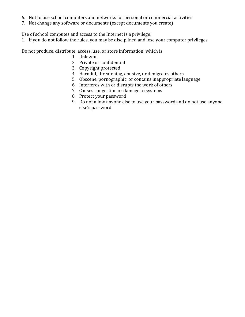- 6. Not to use school computers and networks for personal or commercial activities
- 7. Not change any software or documents (except documents you create)

Use of school computes and access to the Internet is a privilege:

1. If you do not follow the rules, you may be disciplined and lose your computer privileges

Do not produce, distribute, access, use, or store information, which is

- 1. Unlawful
- 2. Private or confidential
- 3. Copyright protected
- 4. Harmful, threatening, abusive, or denigrates others
- 5. Obscene, pornographic, or contains inappropriate language
- 6. Interferes with or disrupts the work of others
- 7. Causes congestion or damage to systems
- 8. Protect your password
- 9. Do not allow anyone else to use your password and do not use anyone else's password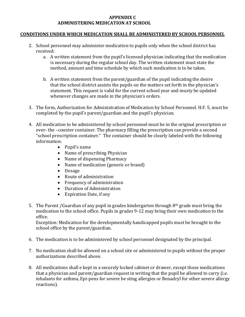#### **APPENDIX C ADMINISTERING MEDICATION AT SCHOOL**

#### **CONDITIONS UNDER WHICH MEDICATION SHALL BE ADMINISTERED BY SCHOOL PERSONNEL**

- 2. School personnel may administer medication to pupils only when the school district has received:
	- a. A written statement from the pupil's licensed physician indicating that the medication is necessary during the regular school day. The written statement must state the method, amount and time schedule by which such medication is to be taken.
	- b. A written statement from the parent/guardian of the pupil indicating the desire that the school district assists the pupils on the matters set forth in the physician's statement. This request is valid for the current school year and musty be updated whenever changes are made in the physician's orders.
- 3. The form, Authorization for Administration of Medication by School Personnel. H.F. 5, must be completed by the pupil's parent/guardian and the pupil's physician.
- 4. All medication to be administered by school personnel must be in the original prescription or over- the -counter container. The pharmacy filling the prescription can provide a second "school prescription container." The container should be clearly labeled with the following information:
	- Pupil's name
	- Name of prescribing Physician
	- Name of dispensing Pharmacy
	- Name of medication (generic or brand)
	- Dosage
	- Route of administration
	- Frequency of administration
	- Duration of Administration
	- Expiration Date, if any
- 5. The Parent /Guardian of any pupil in grades kindergarten through  $8<sup>th</sup>$  grade must bring the medication to the school office. Pupils in grades 9-12 may bring their own medication to the office.

Exception: Medication for the developmentally handicapped pupils must be brought to the school office by the parent/guardian.

- 6. The medication is to be administered by school personnel designated by the principal.
- 7. No medication shall be allowed on a school site or administered to pupils without the proper authorizations described above.
- 8. All medications shall e kept in a securely locked cabinet or drawer, except those medications that a physician and parent/guardian request in writing that the pupil be allowed to carry (i.e. inhalants for asthma, Epi-pens for severe be sting allergies or Benadryl for other severe allergy reactions).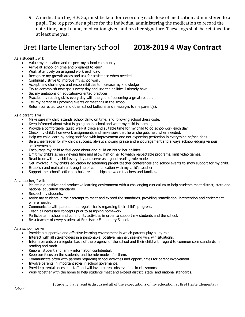9. A medication log, H.F. 5a, must be kept for recording each dose of medication administered to a pupil. The log provides a place for the individual administering the medication to record the date, time, pupil name, medication given and his/her signature. These logs shall be retained for at least one year

### Bret Harte Elementary School **2018-2019 4 Way Contract**

As a student I will:

- Value my education and respect my school community.
- Arrive at school on time and prepared to learn.
- Work attentively on assigned work each day.
- Recognize my growth areas and ask for assistance when needed.
- Continually strive to improve my schoolwork.
- Accept new challenges and responsibilities to increase my knowledge
- Try to accomplish new goals every day and use the abilities I already have.
- Set my ambitions on education-oriented practices.
- Practice my reading skills every day with the goal of becoming a great reader.
- Tell my parent of upcoming events or meetings in the school.
- Return corrected work and other school bulletins and messages to my parent(s).

As a parent, I will:

- Make sure my child attends school daily, on time, and following school dress code.
- Keep informed about what is going on in school and what my child is learning.
- Provide a comfortable, quiet, well-lit place and suitable time for my child to do schoolwork each day.
- Check my child's homework assignments and make sure that he or she gets help when needed.
- Help my child learn by being satisfied with improvement and not expecting perfection in everything he/she does.
- Be a cheerleader for my child's success, always showing praise and encouragement and always acknowledging various achievements.
- Encourage my child to feel good about and build on his or her abilities.
- Limit my child's screen viewing time and allow him or her to watch respectable programs, limit video games.
- Read to or with my child every day and serve as a good reading role model.
- Get involved in my child's education by attending parent-teacher conferences and school events to show support for my child.
- Establish and maintain a strong line of communication with my child's teacher.
- Support the school's efforts to build relationships between teachers and families.

As a teacher, I will:

- Maintain a positive and productive learning environment with a challenging curriculum to help students meet district, state and national education standards.
- Respect my students.
- Assist my students in their attempt to meet and exceed the standards, providing remediation, intervention and enrichment where needed.
- Communicate with parents on a regular basis regarding their child's progress.
- Teach all necessary concepts prior to assigning homework.
- Participate in school and community activities in order to support my students and the school.
- Be a teacher of every student at Bret Harte Elementary School.

As a school, we will:

- Provide a supportive and effective learning environment in which parents play a key role.
- Interact with all stakeholders in a personable, positive manner, seeking win, win situations.
- Inform parents on a regular basis of the progress of the school and their child with regard to common core standards in reading and math.
- Keep all student and family information confidential.
- Keep our focus on the students, and be role models for them.
- Communicate often with parents regarding school activities and opportunities for parent involvement.
- Involve parents in important roles in school governance.
- Provide parental access to staff and will invite parent observations in classrooms.
- Work together with the home to help students meet and exceed district, state, and national standards.

I Student) have read & discussed all of the expectations of my education at Bret Harte Elementary

School.